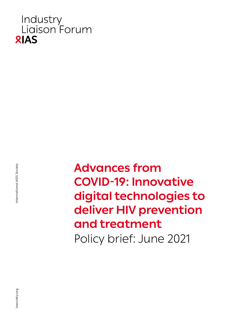

nternational AIDS Society iasociety.org International AIDS Society

**Advances from COVID-19: Innovative digital technologies to deliver HIV prevention and treatment** Policy brief: June 2021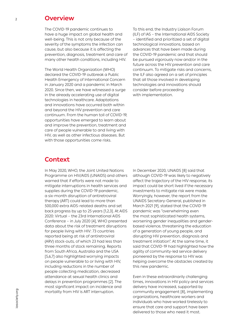#### **Overview**

The COVID-19 pandemic continues to have a huge impact on global health and well-being. This is not only because of the severity of the symptoms the infection can cause, but also because it is affecting the prevention, diagnosis, treatment and care of many other health conditions, including HIV.

The World Health Organization (WHO) declared the COVID-19 outbreak a Public Health Emergency of International Concern in January 2020 and a pandemic in March 2020. Since then, we have witnessed a surge in the already accelerating use of digital technologies in healthcare. Adaptations and innovations have occurred both within and beyond the HIV prevention and care continuum. From the human toll of COVID-19, opportunities have emerged to learn about and improve the prevention, treatment and care of people vulnerable to and living with HIV, as well as other infectious diseases. But with those opportunities come risks.

To this end, the Industry Liaison Forum (ILF) of IAS – the International AIDS Society – identified and prioritized a set of digital technological innovations, based on advances that have been made during the COVID-19 pandemic and that should be pursued vigorously now and/or in the future across the HIV prevention and care continuum. To mitigate risks and concerns, the ILF also agreed on a set of principles that all those involved in developing technologies and innovations should consider before proceeding with implementation.

### **Context**

In May 2020, WHO, the Joint United Nations Programme on HIV/AIDS (UNAIDS) and others warned that if efforts were not made to mitigate interruptions in health services and supplies during the COVID-19 pandemic, a six-month disruption of antiretroviral therapy (ART) could lead to more than 500,000 extra AIDS-related deaths and set back progress by up to 25 years [1,2,3]. At AIDS 2020: Virtual – the 23rd International AIDS Conference – in July 2020 [4], WHO presented data about the risk of treatment disruptions for people living with HIV: 73 countries reported being at risk of antiretroviral (ARV) stock-outs, of which 23 had less than three months of stock remaining. Reports from South Africa, Australia and the USA [5,6,7] also highlighted worrying impacts on people vulnerable to or living with HIV, including reductions in the number of people collecting medication, decreased attendance at sexual health clinics and delays in prevention programmes [2]. The most significant impact on incidence and mortality from HIV is ART interruption.

In December 2020, UNAIDS [8] said that although COVID-19 was likely to negatively affect the trajectory of the HIV response, its impact could be short lived if the necessary investments to mitigate risk were made. Worryingly, however, the report from the UNAIDS Secretary-General, published in March 2021 [9], stated that the COVID-19 pandemic was "overwhelming even the most sophisticated health systems, worsening gender inequalities and genderbased violence, threatening the education of a generation of young people, and disrupting HIV prevention, diagnosis and treatment initiation". At the same time, it said that COVID-19 had highlighted how the agility of community-led service delivery pioneered by the response to HIV was helping overcome the obstacles created by this new pandemic.

Even in these extraordinarily challenging times, innovations in HIV policy and services delivery have increased, supported by community engagement [8], implementing organizations, healthcare workers and individuals who have worked tirelessly to ensure that care and support have been delivered to those who need it most.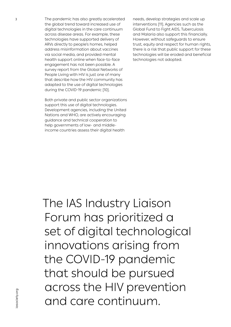The pandemic has also greatly accelerated the global trend toward increased use of digital technologies in the care continuum across disease areas. For example, these technologies have supported delivery of ARVs directly to people's homes, helped address misinformation about vaccines via social media, and provided mental health support online when face-to-face engagement has not been possible. A survey report from the Global Networks of People Living with HIV is just one of many that describe how the HIV community has adapted to the use of digital technologies during the COVID-19 pandemic [10].

Both private and public sector organizations support this use of digital technologies. Development agencies, including the United Nations and WHO, are actively encouraging guidance and technical cooperation to help governments of low- and middleincome countries assess their digital health

needs, develop strategies and scale up interventions [11]. Agencies such as the Global Fund to Fight AIDS, Tuberculosis and Malaria also support this financially. However, without safeguards to ensure trust, equity and respect for human rights, there is a risk that public support for these technologies will be eroded and beneficial technologies not adopted.

The IAS Industry Liaison Forum has prioritized a set of digital technological innovations arising from the COVID-19 pandemic that should be pursued across the HIV prevention and care continuum.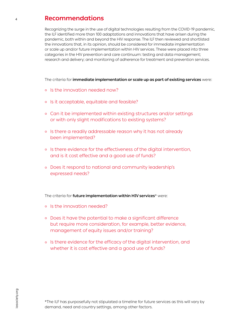#### **Recommendations**

Recognizing the surge in the use of digital technologies resulting from the COVID-19 pandemic, the ILF identified more than 100 adaptations and innovations that have arisen during the pandemic, both within and beyond the HIV response. The ILF then reviewed and shortlisted the innovations that, in its opinion, should be considered for immediate implementation or scale up and/or future implementation within HIV services. These were placed into three categories in the HIV prevention and care continuum: testing and data management; research and delivery; and monitoring of adherence for treatment and prevention services.

The criteria for **immediate implementation or scale up as part of existing services** were:

- o Is the innovation needed now?
- ° Is it acceptable, equitable and feasible?
- ° Can it be implemented within existing structures and/or settings or with only slight modifications to existing systems?
- ° Is there a readily addressable reason why it has not already been implemented?
- ° Is there evidence for the effectiveness of the digital intervention, and is it cost effective and a good use of funds?
- ° Does it respond to national and community leadership's expressed needs?

The criteria for **future implementation within HIV services**\* were:

- ° Is the innovation needed?
- ° Does it have the potential to make a significant difference but require more consideration, for example, better evidence, management of equity issues and/or training?
- ° Is there evidence for the efficacy of the digital intervention, and whether it is cost effective and a good use of funds?

\*The ILF has purposefully not stipulated a timeline for future services as this will vary by demand, need and country settings, among other factors.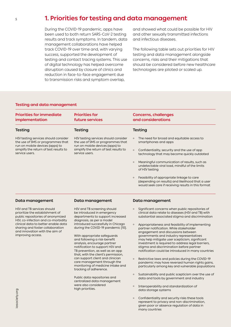#### **1. Priorities for testing and data management**

During the COVID-19 pandemic, apps have been used to both return SARS-CoV-2 testing results and track symptoms. In tandem, data management collaborations have helped track COVID-19 over time and, with varying success, supported the development of testing and contact tracing systems. This use of digital technology has helped overcome disruption caused by closure of clinics and reduction in face-to-face engagement due to transmission risks and symptom overlap,

and showed what could be possible for HIV and other sexually transmitted infections and infectious diseases.

The following table sets out priorities for HIV testing and data management alongside concerns, risks and their mitigations that should be considered before new healthcare technologies are piloted or scaled up.

#### **Testing and data management**

| <b>Priorities for immediate</b><br>implementation                                                            | <b>Priorities for</b><br>future services                                                                                                                                 | <b>Concerns, challenges</b><br>and considerations                                                                                                                 |
|--------------------------------------------------------------------------------------------------------------|--------------------------------------------------------------------------------------------------------------------------------------------------------------------------|-------------------------------------------------------------------------------------------------------------------------------------------------------------------|
| Testing                                                                                                      | Testing                                                                                                                                                                  | Testing                                                                                                                                                           |
| HIV testing services should consider<br>the use of SMS or programmes that<br>run on mobile devices (apps) to | HIV testing services should consider<br>the use of SMS or programmes that<br>run on mobile devices (apps) to<br>simplify the return of test results to<br>service users. | The need for broad and equitable access to<br>$\circ$<br>smartphones and apps                                                                                     |
| simplify the return of test results to<br>service users.                                                     |                                                                                                                                                                          | Confidentiality, security and the use of app<br>$\circ$<br>technology that may become quickly outdated                                                            |
|                                                                                                              | Meaningful communication of results, such as<br>$\circ$<br>undetectable viral load, mindful of the limits<br>of HIV testing                                              |                                                                                                                                                                   |
|                                                                                                              |                                                                                                                                                                          | Feasibility of appropriate linkage to care<br>$\circ$<br>(depending on results) and likelihood that a user<br>would seek care if receiving results in this format |
|                                                                                                              |                                                                                                                                                                          |                                                                                                                                                                   |

#### **Data management**

HIV and TB services should prioritize the establishment of public repositories of anonymized HIV, co-infection and co-morbidity clinical data to better enable data sharing and foster collaboration and innovation with the aim of improving access.

#### **Data management**

HIV and TB screening should be introduced in emergency departments to support increased diagnosis, as per a model introduced successfully in Chicago during the COVID-19 pandemic [10].

With appropriate safeguards and following a risk-benefit analysis, encourage partner notification to support HIV and TB prevention, as well as an app that, with the client's permission, can support client and clinician care management through the monitoring of medicine intake and tracking of adherence.

Public data repositories and centralized data management were also considered high priorities.

#### **Data management**

- Significant concerns when public repositories of clinical data relate to diseases (HIV and TB) with substantial associated stigma and discrimination
- Appropriateness and feasibility of implementing partner notification. While stakeholder engagement and discussions between governments and industry representatives may help mitigate user scepticism, significant investment is required to address legal barriers, stigma and discrimination before partner notification could be introduced in many countries
- ° Restrictive laws and policies during the COVID-19 pandemic may have reversed human rights gains, particularly among key and vulnerable populations
- Sustainability and public scepticism over the use of data and tools by government and industry
- ° Interoperability and standardization of data storage systems
- ° Confidentiality and security risks these tools represent to privacy and non-discrimination, given poor or absence regulation of data in many countries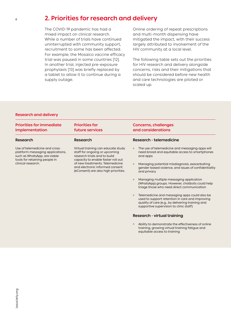#### 6

### **2. Priorities for research and delivery**

The COVID-19 pandemic has had a mixed impact on clinical research. While a number of trials have continued uninterrupted with community support, recruitment to some has been affected. For example, the Mosaico vaccine efficacy trial was paused in some countries [12]. In another trial, injected pre-exposure prophylaxis [13] was briefly replaced by a tablet to allow it to continue during a supply outage.

Online ordering of repeat prescriptions and multi-month dispensing have mitigated the impact, with their success largely attributed to involvement of the HIV community at a local level.

The following table sets out the priorities for HIV research and delivery alongside concerns, risks and their mitigations that should be considered before new health and care technologies are piloted or scaled up.

#### **Research and delivery**

| <b>Priorities for immediate</b><br>implementation                                                                                   | <b>Priorities for</b><br>future services                                                                                                  | <b>Concerns, challenges</b><br>and considerations                                                                                                                                                           |
|-------------------------------------------------------------------------------------------------------------------------------------|-------------------------------------------------------------------------------------------------------------------------------------------|-------------------------------------------------------------------------------------------------------------------------------------------------------------------------------------------------------------|
| Research                                                                                                                            | Research                                                                                                                                  | Research - telemedicine                                                                                                                                                                                     |
| Use of telemedicine and cross-<br>platform messaging applications,<br>such as WhatsApp, are viable<br>tools for retaining people in | Virtual training can educate study<br>staff for ongoing or upcoming<br>research trials and to build<br>capacity to enable faster roll out | The use of telemedicine and messaging apps will<br>$\circ$<br>need broad and equitable access to smartphones<br>and apps                                                                                    |
| clinical research.                                                                                                                  | of new treatments. Telemedicine<br>and electronic informed consent<br>(eConsent) are also high priorities.                                | Managing potential misdiagnosis, exacerbating<br>$\circ$<br>gender-based violence, and issues of confidentiality<br>and privacy                                                                             |
|                                                                                                                                     |                                                                                                                                           | Managing multiple messaging application<br>$\circ$<br>(WhatsApp) groups. However, chatbots could help<br>triage those who need direct communication                                                         |
|                                                                                                                                     |                                                                                                                                           | Telemedicine and messaging apps could also be<br>$\circ$<br>used to support retention in care and improving<br>quality of care (e.g., by delivering training and<br>supportive supervision to clinic staff) |
|                                                                                                                                     |                                                                                                                                           | <b>Research - virtual training</b>                                                                                                                                                                          |

° Ability to demonstrate the effectiveness of online training, growing virtual training fatigue and equitable access to training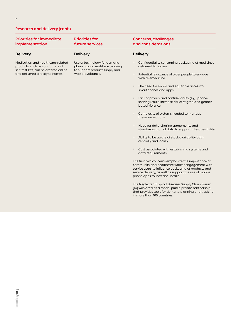#### **Research and delivery (cont.)**

| <b>Priorities for immediate</b><br>implementation                                                                                               | <b>Priorities for</b><br>future services                                                                             | <b>Concerns, challenges</b><br>and considerations                                                                                                                                                                                                         |
|-------------------------------------------------------------------------------------------------------------------------------------------------|----------------------------------------------------------------------------------------------------------------------|-----------------------------------------------------------------------------------------------------------------------------------------------------------------------------------------------------------------------------------------------------------|
| <b>Delivery</b>                                                                                                                                 | <b>Delivery</b>                                                                                                      | <b>Delivery</b>                                                                                                                                                                                                                                           |
| Medication and healthcare-related<br>products, such as condoms and<br>self-test kits, can be ordered online<br>and delivered directly to homes. | Use of technology for demand<br>planning and real-time tracking<br>to support product supply and<br>waste-avoidance. | Confidentiality concerning packaging of medicines<br>$\circ$<br>delivered to homes                                                                                                                                                                        |
|                                                                                                                                                 |                                                                                                                      | Potential reluctance of older people to engage<br>$\circ$<br>with telemedicine                                                                                                                                                                            |
|                                                                                                                                                 |                                                                                                                      | The need for broad and equitable access to<br>$\circ$<br>smartphones and apps                                                                                                                                                                             |
|                                                                                                                                                 |                                                                                                                      | Lack of privacy and confidentiality (e.g., phone-<br>$\circ$<br>sharing) could increase risk of stigma and gender-<br>based violence                                                                                                                      |
|                                                                                                                                                 |                                                                                                                      | Complexity of systems needed to manage<br>$\circ$<br>these innovations                                                                                                                                                                                    |
|                                                                                                                                                 |                                                                                                                      | Need for data-sharing agreements and<br>$\circ$<br>standardization of data to support interoperability                                                                                                                                                    |
|                                                                                                                                                 |                                                                                                                      | Ability to be aware of stock availability both<br>$\circ$<br>centrally and locally                                                                                                                                                                        |
|                                                                                                                                                 |                                                                                                                      | Cost associated with establishing systems and<br>$\circ$<br>data requirements                                                                                                                                                                             |
|                                                                                                                                                 |                                                                                                                      | The first two concerns emphasize the importance of<br>community and healthcare worker engagement with<br>service users to influence packaging of products and<br>service delivery, as well as support the use of mobile<br>phone apps to increase uptake. |
|                                                                                                                                                 |                                                                                                                      | The Neglected Tropical Diseases Supply Chain Forum<br>[14] was cited as a model public-private partnership<br>that provides tools for demand planning and tracking                                                                                        |

in more than 100 countries.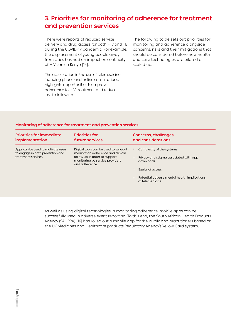## **3. Priorities for monitoring of adherence for treatment and prevention services**

There were reports of reduced service delivery and drug access for both HIV and TB during the COVID-19 pandemic. For example, the displacement of young people away from cities has had an impact on continuity of HIV care in Kenya [15].

The acceleration in the use of telemedicine, including phone and online consultations, highlights opportunities to improve adherence to HIV treatment and reduce loss to follow up.

The following table sets out priorities for monitoring and adherence alongside concerns, risks and their mitigations that should be considered before new health and care technologies are piloted or scaled up.

#### **Monitoring of adherence for treatment and prevention services**

| <b>Priorities for immediate</b><br>implementation                                             | <b>Priorities for</b><br>future services                                                                                                                        |         | <b>Concerns, challenges</b><br>and considerations                                |
|-----------------------------------------------------------------------------------------------|-----------------------------------------------------------------------------------------------------------------------------------------------------------------|---------|----------------------------------------------------------------------------------|
| Apps can be used to motivate users<br>to engage in both prevention and<br>treatment services. | Digital tools can be used to support<br>medication adherence and clinical<br>follow up in order to support<br>monitoring by service providers<br>and adherence. | $\circ$ | Complexity of the systems<br>Privacy and stigma associated with app<br>downloads |
|                                                                                               |                                                                                                                                                                 |         | Equity of access                                                                 |
|                                                                                               |                                                                                                                                                                 | $\circ$ | Potential adverse mental health implications<br>of telemedicine                  |

As well as using digital technologies in monitoring adherence, mobile apps can be successfully used in adverse event reporting. To this end, the South African Health Products Agency (SAHPRA) [16] has rolled out a mobile app for the public and practitioners based on the UK Medicines and Healthcare products Regulatory Agency's Yellow Card system.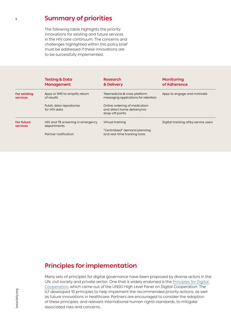### **Summary of priorities**

The following table highlights the priority innovations for existing and future services in the HIV care continuum. The concerns and challenges highlighted within this policy brief must be addressed if these innovations are to be successfully implemented.

|                                 | <b>Testing &amp; Data</b><br><b>Management</b>   | <b>Research</b><br>& Delivery                                                    | <b>Monitoring</b><br>of Adherence    |
|---------------------------------|--------------------------------------------------|----------------------------------------------------------------------------------|--------------------------------------|
| <b>For existing</b><br>services | Apps or SMS to simplify return<br>of results     | Telemedicine & cross-platform<br>messaging applications for retention            | Apps to engage and motivate          |
|                                 | Public data repositories<br>for HIV data         | Online ordering of medication<br>and direct home delivery/via<br>drop-off points |                                      |
| For future<br>services          | HIV and TB screening in emergency<br>departments | Virtual training                                                                 | Digital tracking of/by service users |
|                                 | Partner notification                             | "Centralized" demand planning<br>and real-time tracking tools                    |                                      |

## **Principles for implementation**

Many sets of principles for digital governance have been proposed by diverse actors in the UN, civil society and private sector. One that is widely endorsed is the [Principles for Digital](https://digitalprinciples.org/principles/)  [Cooperation](https://digitalprinciples.org/principles/), which came out of the UNSG High Level Panel on Digital Cooperation. The ILF developed 10 principles to help implement the recommended priority actions, as well as future innovations in healthcare. Partners are encouraged to consider the adoption of these principles, and relevant international human rights standards, to mitigate associated risks and concerns.

9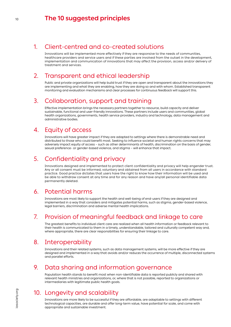### **The 10 suggested principles**

### 1. Client-centred and co-created solutions

Innovations will be implemented more effectively if they are responsive to the needs of communities, healthcare providers and service users and if these parties are involved from the outset in the development, implementation and communication of innovations that may affect the provision, access and/or delivery of treatment and services.

### 2. Transparent and ethical leadership

Public and private organizations will help build trust if they are open and transparent about the innovations they are implementing and what they are enabling, how they are doing so and with whom. Established transparent monitoring and evaluation mechanisms and clear processes for continuous feedback will support this.

### 3. Collaboration, support and training

Effective implementation brings the necessary partners together to resource, build capacity and deliver sustainable, functional and user-friendly innovations. These partners include users and communities, global health organizations, governments, health service providers, industry and technology, data management and administrative bodies.

## 4. Equity of access

Innovations will have greater impact if they are adapted to settings where there is demonstrable need and distributed to those who could benefit most. Seeking to influence societal and human rights concerns that may adversely impact equity of access – such as other determinants of health, discrimination on the basis of gender, sexual preference- or gender-based violence, and stigma – will enhance that impact.

## 5. Confidentiality and privacy

Innovations designed and implemented to protect client confidentiality and privacy will help engender trust. Any or all consent must be informed, voluntary and obtained from all users in accordance with standard practice. Good practice dictates that users have the right to know how their information will be used and be able to withdraw consent at any time and for any reason and have any/all personal identifiable data permanently deleted.

## 6. Potential harms

Innovations are most likely to support the health and well-being of end-users if they are designed and implemented in a way that considers and mitigates potential harms, such as stigma, gender-based violence, legal barriers, discrimination and adverse mental health implications.

## 7. Provision of meaningful feedback and linkage to care

The greatest benefits to individual client care are realized when all health information or feedback relevant to their health is communicated to them in a timely, understandable, tailored and culturally competent way and, where appropriate, there are clear responsibilities for ensuring their linkage to care.

## 8. Interoperability

Innovations and their related systems, such as data management systems, will be more effective if they are designed and implemented in a way that avoids and/or reduces the occurrence of multiple, disconnected systems and parallel efforts.

## 9. Data sharing and information governance

Population health stands to benefit most when non-identifiable data is reported publicly and shared with relevant health ministries and organizations, or, where that is not possible, reported to organizations or intermediaries with legitimate public health goals.

# 10. Longevity and scalability

Innovations are more likely to be successful if they are affordable, are adaptable to settings with different technological capacities, are durable and offer long-term value, have potential for scale, and come with appropriate and sustainable investment.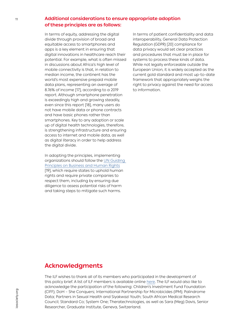**Additional considerations to ensure appropriate adoption of these principles are as follows:**

In terms of equity, addressing the digital divide through provision of broad and equitable access to smartphones and apps is a key element in ensuring that digital innovations in healthcare reach their potential. For example, what is often missed in discussions about Africa's high level of mobile connectivity is that, in relation to median income, the continent has the world's most expensive prepaid mobile data plans, representing an average of 8.76% of income [17], according to a 2019 report. Although smartphone penetration is exceedingly high and growing steadily, even since this report [18], many users do not have mobile data or phone contracts and have basic phones rather than smartphones. Key to any adoption or scale up of digital health technologies, therefore, is strengthening infrastructure and ensuring access to internet and mobile data, as well as digital literacy in order to help address the digital divide.

In adopting the principles, implementing organizations should follow the [UN Guiding](https://www.ohchr.org/documents/publications/guidingprinciplesbusinesshr_en.pdf)  [Principles on Business and Human Rights](https://www.ohchr.org/documents/publications/guidingprinciplesbusinesshr_en.pdf) [19], which require states to uphold human rights and require private companies to respect them, including by ensuring due diligence to assess potential risks of harm and taking steps to mitigate such harms.

In terms of patient confidentiality and data interoperability, General Data Protection Regulation (GDPR) [20] compliance for data privacy would set clear practices and procedures that must be in place for systems to process these kinds of data. While not legally enforceable outside the European Union, it is widely accepted as the current gold standard and most up-to-date framework that appropriately weighs the right to privacy against the need for access to information.

## **Acknowledgments**

The ILF wishes to thank all of its members who participated in the development of this policy brief. A list of ILF members is available online [here](https://www.iasociety.org/HIV-Programmes/Programmes/Industry-Liaison-Forum/ILF-Advisory-Group). The ILF would also like to acknowledge the participation of the following: Children's Investment Fund Foundation (CIFF); DoH – She Conquers; International Partnership for Microbicides (IPM); Palindrome Data; Partners in Sexual Health and Siyakwazi Youth; South African Medical Research Council; Standard Co; System One; Theratechnologies, as well as Sara (Meg) Davis, Senior Researcher, Graduate Institute, Geneva, Switzerland.